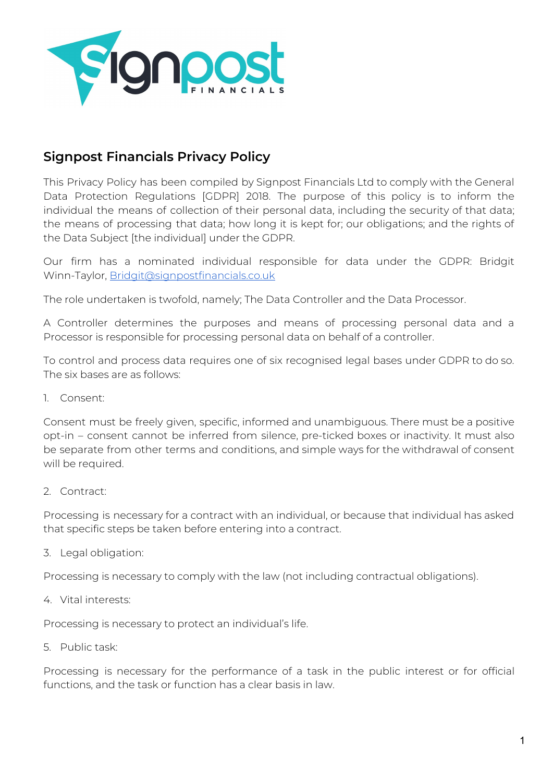

# **Signpost Financials Privacy Policy**

This Privacy Policy has been compiled by Signpost Financials Ltd to comply with the General Data Protection Regulations [GDPR] 2018. The purpose of this policy is to inform the individual the means of collection of their personal data, including the security of that data; the means of processing that data; how long it is kept for; our obligations; and the rights of the Data Subject [the individual] under the GDPR.

Our firm has a nominated individual responsible for data under the GDPR: Bridgit Winn-Taylor, [Bridgit@signpostfinancials.co.uk](mailto:Bridgit@signpostfinancials.co.uk)

The role undertaken is twofold, namely; The Data Controller and the Data Processor.

A Controller determines the purposes and means of processing personal data and a Processor is responsible for processing personal data on behalf of a controller.

To control and process data requires one of six recognised legal bases under GDPR to do so. The six bases are as follows:

1. Consent:

Consent must be freely given, specific, informed and unambiguous. There must be a positive opt-in – consent cannot be inferred from silence, pre-ticked boxes or inactivity. It must also be separate from other terms and conditions, and simple ways for the withdrawal of consent will be required.

2. Contract:

Processing is necessary for a contract with an individual, or because that individual has asked that specific steps be taken before entering into a contract.

3. Legal obligation:

Processing is necessary to comply with the law (not including contractual obligations).

4. Vital interests:

Processing is necessary to protect an individual's life.

5. Public task:

Processing is necessary for the performance of a task in the public interest or for official functions, and the task or function has a clear basis in law.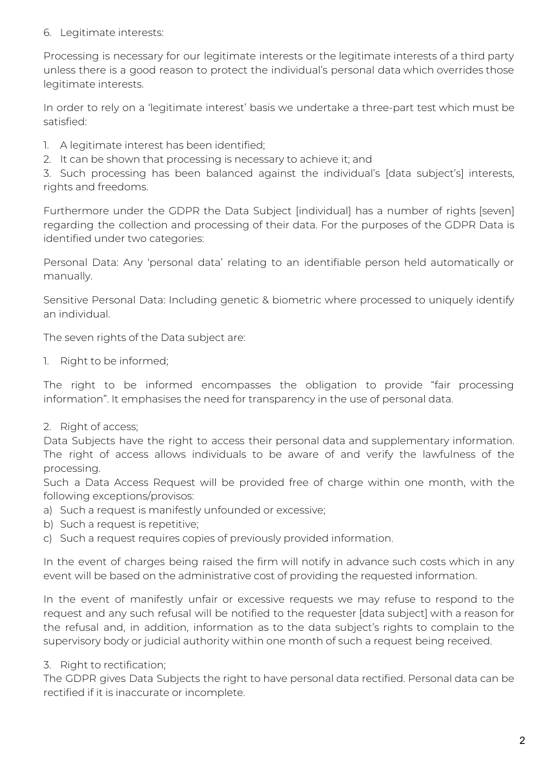## 6. Legitimate interests:

Processing is necessary for our legitimate interests or the legitimate interests of a third party unless there is a good reason to protect the individual's personal data which overrides those legitimate interests.

In order to rely on a 'legitimate interest' basis we undertake a three-part test which must be satisfied:

- 1. A legitimate interest has been identified;
- 2. It can be shown that processing is necessary to achieve it; and

3. Such processing has been balanced against the individual's [data subject's] interests, rights and freedoms.

Furthermore under the GDPR the Data Subject [individual] has a number of rights [seven] regarding the collection and processing of their data. For the purposes of the GDPR Data is identified under two categories:

Personal Data: Any 'personal data' relating to an identifiable person held automatically or manually.

Sensitive Personal Data: Including genetic & biometric where processed to uniquely identify an individual.

The seven rights of the Data subject are:

1. Right to be informed;

The right to be informed encompasses the obligation to provide "fair processing information". It emphasises the need for transparency in the use of personal data.

2. Right of access;

Data Subjects have the right to access their personal data and supplementary information. The right of access allows individuals to be aware of and verify the lawfulness of the processing.

Such a Data Access Request will be provided free of charge within one month, with the following exceptions/provisos:

- a) Such a request is manifestly unfounded or excessive;
- b) Such a request is repetitive;
- c) Such a request requires copies of previously provided information.

In the event of charges being raised the firm will notify in advance such costs which in any event will be based on the administrative cost of providing the requested information.

In the event of manifestly unfair or excessive requests we may refuse to respond to the request and any such refusal will be notified to the requester [data subject] with a reason for the refusal and, in addition, information as to the data subject's rights to complain to the supervisory body or judicial authority within one month of such a request being received.

3. Right to rectification;

The GDPR gives Data Subjects the right to have personal data rectified. Personal data can be rectified if it is inaccurate or incomplete.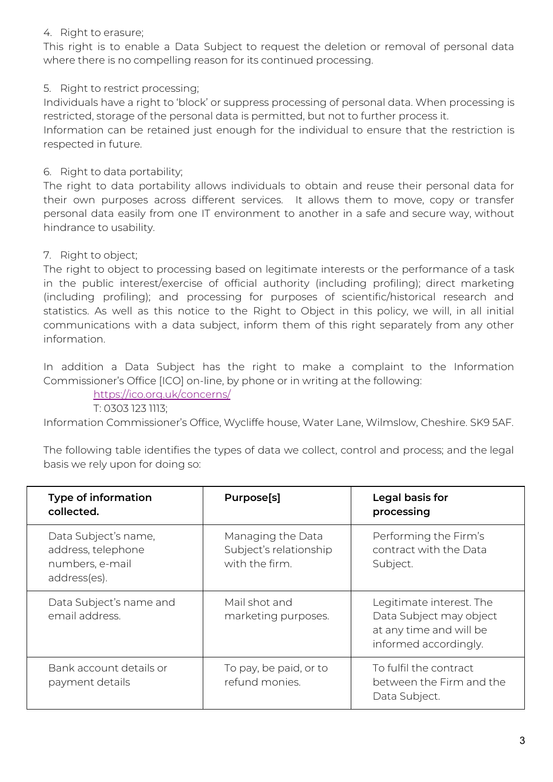#### 4. Right to erasure;

This right is to enable a Data Subject to request the deletion or removal of personal data where there is no compelling reason for its continued processing.

5. Right to restrict processing;

Individuals have a right to 'block' or suppress processing of personal data. When processing is restricted, storage of the personal data is permitted, but not to further process it. Information can be retained just enough for the individual to ensure that the restriction is respected in future.

6. Right to data portability;

The right to data portability allows individuals to obtain and reuse their personal data for their own purposes across different services. It allows them to move, copy or transfer personal data easily from one IT environment to another in a safe and secure way, without hindrance to usability.

#### 7. Right to object;

The right to object to processing based on legitimate interests or the performance of a task in the public interest/exercise of official authority (including profiling); direct marketing (including profiling); and processing for purposes of scientific/historical research and statistics. As well as this notice to the Right to Object in this policy, we will, in all initial communications with a data subject, inform them of this right separately from any other information.

In addition a Data Subject has the right to make a complaint to the Information Commissioner's Office [ICO] on-line, by phone or in writing at the following:

<https://ico.org.uk/concerns/>

T: 0303 123 1113;

Information Commissioner's Office, Wycliffe house, Water Lane, Wilmslow, Cheshire. SK9 5AF.

The following table identifies the types of data we collect, control and process; and the legal basis we rely upon for doing so:

| <b>Type of information</b><br>collected.                                      | Purpose[s]                                                    | Legal basis for<br>processing                                                                           |
|-------------------------------------------------------------------------------|---------------------------------------------------------------|---------------------------------------------------------------------------------------------------------|
| Data Subject's name,<br>address, telephone<br>numbers, e-mail<br>address(es). | Managing the Data<br>Subject's relationship<br>with the firm. | Performing the Firm's<br>contract with the Data<br>Subject.                                             |
| Data Subject's name and<br>email address.                                     | Mail shot and<br>marketing purposes.                          | Legitimate interest. The<br>Data Subject may object<br>at any time and will be<br>informed accordingly. |
| Bank account details or<br>payment details                                    | To pay, be paid, or to<br>refund monies.                      | To fulfil the contract<br>between the Firm and the<br>Data Subject.                                     |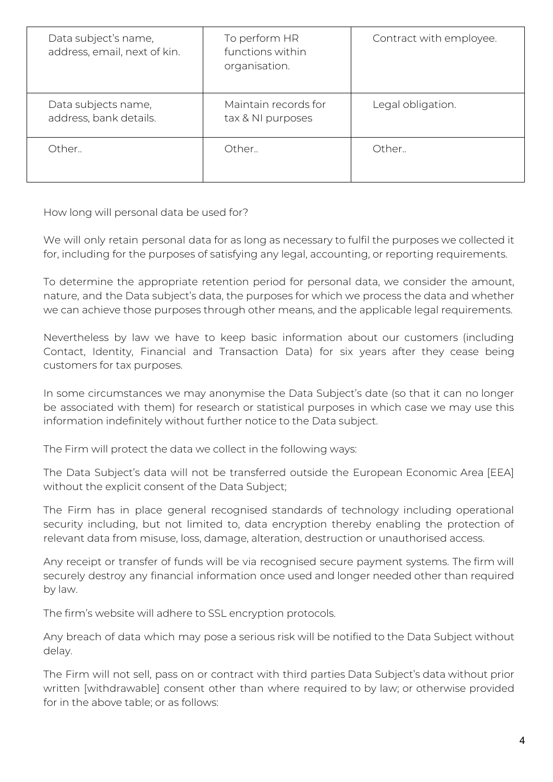| Data subject's name,<br>address, email, next of kin. | To perform HR<br>functions within<br>organisation. | Contract with employee. |
|------------------------------------------------------|----------------------------------------------------|-------------------------|
| Data subjects name,<br>address, bank details.        | Maintain records for<br>tax & NI purposes          | Legal obligation.       |
| Other.                                               | Other                                              | Other                   |

How long will personal data be used for?

We will only retain personal data for as long as necessary to fulfil the purposes we collected it for, including for the purposes of satisfying any legal, accounting, or reporting requirements.

To determine the appropriate retention period for personal data, we consider the amount, nature, and the Data subject's data, the purposes for which we process the data and whether we can achieve those purposes through other means, and the applicable legal requirements.

Nevertheless by law we have to keep basic information about our customers (including Contact, Identity, Financial and Transaction Data) for six years after they cease being customers for tax purposes.

In some circumstances we may anonymise the Data Subject's date (so that it can no longer be associated with them) for research or statistical purposes in which case we may use this information indefinitely without further notice to the Data subject.

The Firm will protect the data we collect in the following ways:

The Data Subject's data will not be transferred outside the European Economic Area [EEA] without the explicit consent of the Data Subject;

The Firm has in place general recognised standards of technology including operational security including, but not limited to, data encryption thereby enabling the protection of relevant data from misuse, loss, damage, alteration, destruction or unauthorised access.

Any receipt or transfer of funds will be via recognised secure payment systems. The firm will securely destroy any financial information once used and longer needed other than required by law.

The firm's website will adhere to SSL encryption protocols.

Any breach of data which may pose a serious risk will be notified to the Data Subject without delay.

The Firm will not sell, pass on or contract with third parties Data Subject's data without prior written [withdrawable] consent other than where required to by law; or otherwise provided for in the above table; or as follows: